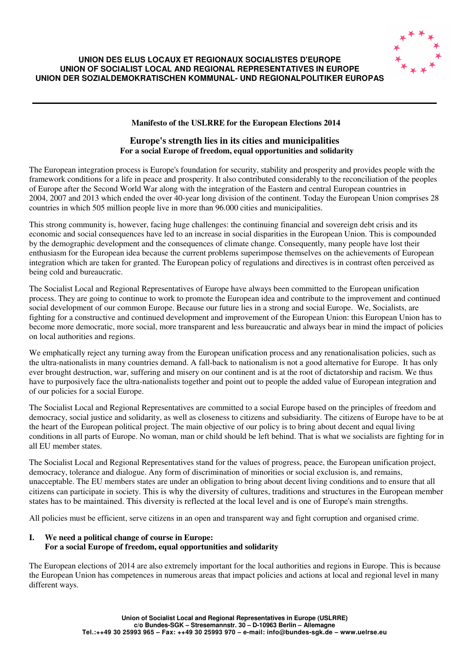

#### **UNION DES ELUS LOCAUX ET REGIONAUX SOCIALISTES D'EUROPE UNION OF SOCIALIST LOCAL AND REGIONAL REPRESENTATIVES IN EUROPE UNION DER SOZIALDEMOKRATISCHEN KOMMUNAL- UND REGIONALPOLITIKER EUROPAS**

## **Manifesto of the USLRRE for the European Elections 2014**

## **Europe's strength lies in its cities and municipalities For a social Europe of freedom, equal opportunities and solidarity**

The European integration process is Europe's foundation for security, stability and prosperity and provides people with the framework conditions for a life in peace and prosperity. It also contributed considerably to the reconciliation of the peoples of Europe after the Second World War along with the integration of the Eastern and central European countries in 2004, 2007 and 2013 which ended the over 40-year long division of the continent. Today the European Union comprises 28 countries in which 505 million people live in more than 96.000 cities and municipalities.

This strong community is, however, facing huge challenges: the continuing financial and sovereign debt crisis and its economic and social consequences have led to an increase in social disparities in the European Union. This is compounded by the demographic development and the consequences of climate change. Consequently, many people have lost their enthusiasm for the European idea because the current problems superimpose themselves on the achievements of European integration which are taken for granted. The European policy of regulations and directives is in contrast often perceived as being cold and bureaucratic.

The Socialist Local and Regional Representatives of Europe have always been committed to the European unification process. They are going to continue to work to promote the European idea and contribute to the improvement and continued social development of our common Europe. Because our future lies in a strong and social Europe. We, Socialists, are fighting for a constructive and continued development and improvement of the European Union: this European Union has to become more democratic, more social, more transparent and less bureaucratic and always bear in mind the impact of policies on local authorities and regions.

We emphatically reject any turning away from the European unification process and any renationalisation policies, such as the ultra-nationalists in many countries demand. A fall-back to nationalism is not a good alternative for Europe. It has only ever brought destruction, war, suffering and misery on our continent and is at the root of dictatorship and racism. We thus have to purposively face the ultra-nationalists together and point out to people the added value of European integration and of our policies for a social Europe.

The Socialist Local and Regional Representatives are committed to a social Europe based on the principles of freedom and democracy, social justice and solidarity, as well as closeness to citizens and subsidiarity. The citizens of Europe have to be at the heart of the European political project. The main objective of our policy is to bring about decent and equal living conditions in all parts of Europe. No woman, man or child should be left behind. That is what we socialists are fighting for in all EU member states.

The Socialist Local and Regional Representatives stand for the values of progress, peace, the European unification project, democracy, tolerance and dialogue. Any form of discrimination of minorities or social exclusion is, and remains, unacceptable. The EU members states are under an obligation to bring about decent living conditions and to ensure that all citizens can participate in society. This is why the diversity of cultures, traditions and structures in the European member states has to be maintained. This diversity is reflected at the local level and is one of Europe's main strengths.

All policies must be efficient, serve citizens in an open and transparent way and fight corruption and organised crime.

# **I. We need a political change of course in Europe: For a social Europe of freedom, equal opportunities and solidarity**

The European elections of 2014 are also extremely important for the local authorities and regions in Europe. This is because the European Union has competences in numerous areas that impact policies and actions at local and regional level in many different ways.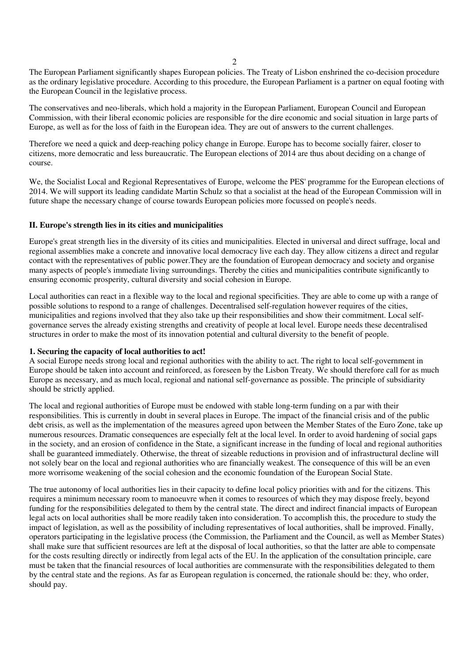2

The European Parliament significantly shapes European policies. The Treaty of Lisbon enshrined the co-decision procedure as the ordinary legislative procedure. According to this procedure, the European Parliament is a partner on equal footing with the European Council in the legislative process.

The conservatives and neo-liberals, which hold a majority in the European Parliament, European Council and European Commission, with their liberal economic policies are responsible for the dire economic and social situation in large parts of Europe, as well as for the loss of faith in the European idea. They are out of answers to the current challenges.

Therefore we need a quick and deep-reaching policy change in Europe. Europe has to become socially fairer, closer to citizens, more democratic and less bureaucratic. The European elections of 2014 are thus about deciding on a change of course.

We, the Socialist Local and Regional Representatives of Europe, welcome the PES' programme for the European elections of 2014. We will support its leading candidate Martin Schulz so that a socialist at the head of the European Commission will in future shape the necessary change of course towards European policies more focussed on people's needs.

## **II. Europe's strength lies in its cities and municipalities**

Europe's great strength lies in the diversity of its cities and municipalities. Elected in universal and direct suffrage, local and regional assemblies make a concrete and innovative local democracy live each day. They allow citizens a direct and regular contact with the representatives of public power.They are the foundation of European democracy and society and organise many aspects of people's immediate living surroundings. Thereby the cities and municipalities contribute significantly to ensuring economic prosperity, cultural diversity and social cohesion in Europe.

Local authorities can react in a flexible way to the local and regional specificities. They are able to come up with a range of possible solutions to respond to a range of challenges. Decentralised self-regulation however requires of the cities, municipalities and regions involved that they also take up their responsibilities and show their commitment. Local selfgovernance serves the already existing strengths and creativity of people at local level. Europe needs these decentralised structures in order to make the most of its innovation potential and cultural diversity to the benefit of people.

## **1. Securing the capacity of local authorities to act!**

A social Europe needs strong local and regional authorities with the ability to act. The right to local self-government in Europe should be taken into account and reinforced, as foreseen by the Lisbon Treaty. We should therefore call for as much Europe as necessary, and as much local, regional and national self-governance as possible. The principle of subsidiarity should be strictly applied.

The local and regional authorities of Europe must be endowed with stable long-term funding on a par with their responsibilities. This is currently in doubt in several places in Europe. The impact of the financial crisis and of the public debt crisis, as well as the implementation of the measures agreed upon between the Member States of the Euro Zone, take up numerous resources. Dramatic consequences are especially felt at the local level. In order to avoid hardening of social gaps in the society, and an erosion of confidence in the State, a significant increase in the funding of local and regional authorities shall be guaranteed immediately. Otherwise, the threat of sizeable reductions in provision and of infrastructural decline will not solely bear on the local and regional authorities who are financially weakest. The consequence of this will be an even more worrisome weakening of the social cohesion and the economic foundation of the European Social State.

The true autonomy of local authorities lies in their capacity to define local policy priorities with and for the citizens. This requires a minimum necessary room to manoeuvre when it comes to resources of which they may dispose freely, beyond funding for the responsibilities delegated to them by the central state. The direct and indirect financial impacts of European legal acts on local authorities shall be more readily taken into consideration. To accomplish this, the procedure to study the impact of legislation, as well as the possibility of including representatives of local authorities, shall be improved. Finally, operators participating in the legislative process (the Commission, the Parliament and the Council, as well as Member States) shall make sure that sufficient resources are left at the disposal of local authorities, so that the latter are able to compensate for the costs resulting directly or indirectly from legal acts of the EU. In the application of the consultation principle, care must be taken that the financial resources of local authorities are commensurate with the responsibilities delegated to them by the central state and the regions. As far as European regulation is concerned, the rationale should be: they, who order, should pay.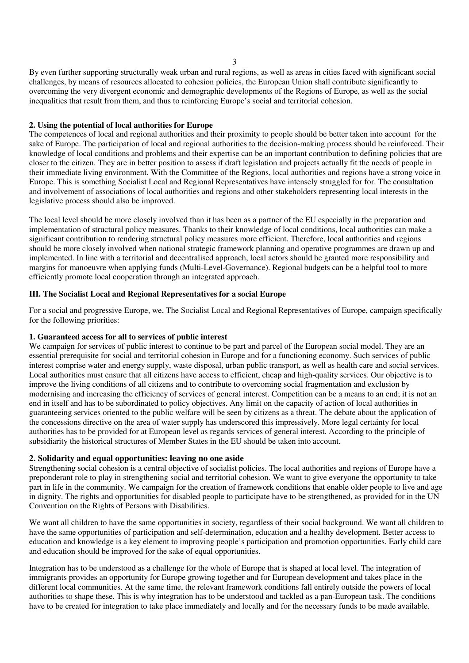By even further supporting structurally weak urban and rural regions, as well as areas in cities faced with significant social challenges, by means of resources allocated to cohesion policies, the European Union shall contribute significantly to overcoming the very divergent economic and demographic developments of the Regions of Europe, as well as the social inequalities that result from them, and thus to reinforcing Europe's social and territorial cohesion.

## **2. Using the potential of local authorities for Europe**

The competences of local and regional authorities and their proximity to people should be better taken into account for the sake of Europe. The participation of local and regional authorities to the decision-making process should be reinforced. Their knowledge of local conditions and problems and their expertise can be an important contribution to defining policies that are closer to the citizen. They are in better position to assess if draft legislation and projects actually fit the needs of people in their immediate living environment. With the Committee of the Regions, local authorities and regions have a strong voice in Europe. This is something Socialist Local and Regional Representatives have intensely struggled for for. The consultation and involvement of associations of local authorities and regions and other stakeholders representing local interests in the legislative process should also be improved.

The local level should be more closely involved than it has been as a partner of the EU especially in the preparation and implementation of structural policy measures. Thanks to their knowledge of local conditions, local authorities can make a significant contribution to rendering structural policy measures more efficient. Therefore, local authorities and regions should be more closely involved when national strategic framework planning and operative programmes are drawn up and implemented. In line with a territorial and decentralised approach, local actors should be granted more responsibility and margins for manoeuvre when applying funds (Multi-Level-Governance). Regional budgets can be a helpful tool to more efficiently promote local cooperation through an integrated approach.

#### **III. The Socialist Local and Regional Representatives for a social Europe**

For a social and progressive Europe, we, The Socialist Local and Regional Representatives of Europe, campaign specifically for the following priorities:

## **1. Guaranteed access for all to services of public interest**

We campaign for services of public interest to continue to be part and parcel of the European social model. They are an essential prerequisite for social and territorial cohesion in Europe and for a functioning economy. Such services of public interest comprise water and energy supply, waste disposal, urban public transport, as well as health care and social services. Local authorities must ensure that all citizens have access to efficient, cheap and high-quality services. Our objective is to improve the living conditions of all citizens and to contribute to overcoming social fragmentation and exclusion by modernising and increasing the efficiency of services of general interest. Competition can be a means to an end; it is not an end in itself and has to be subordinated to policy objectives. Any limit on the capacity of action of local authorities in guaranteeing services oriented to the public welfare will be seen by citizens as a threat. The debate about the application of the concessions directive on the area of water supply has underscored this impressively. More legal certainty for local authorities has to be provided for at European level as regards services of general interest. According to the principle of subsidiarity the historical structures of Member States in the EU should be taken into account.

## **2. Solidarity and equal opportunities: leaving no one aside**

Strengthening social cohesion is a central objective of socialist policies. The local authorities and regions of Europe have a preponderant role to play in strengthening social and territorial cohesion. We want to give everyone the opportunity to take part in life in the community. We campaign for the creation of framework conditions that enable older people to live and age in dignity. The rights and opportunities for disabled people to participate have to be strengthened, as provided for in the UN Convention on the Rights of Persons with Disabilities.

We want all children to have the same opportunities in society, regardless of their social background. We want all children to have the same opportunities of participation and self-determination, education and a healthy development. Better access to education and knowledge is a key element to improving people's participation and promotion opportunities. Early child care and education should be improved for the sake of equal opportunities.

Integration has to be understood as a challenge for the whole of Europe that is shaped at local level. The integration of immigrants provides an opportunity for Europe growing together and for European development and takes place in the different local communities. At the same time, the relevant framework conditions fall entirely outside the powers of local authorities to shape these. This is why integration has to be understood and tackled as a pan-European task. The conditions have to be created for integration to take place immediately and locally and for the necessary funds to be made available.